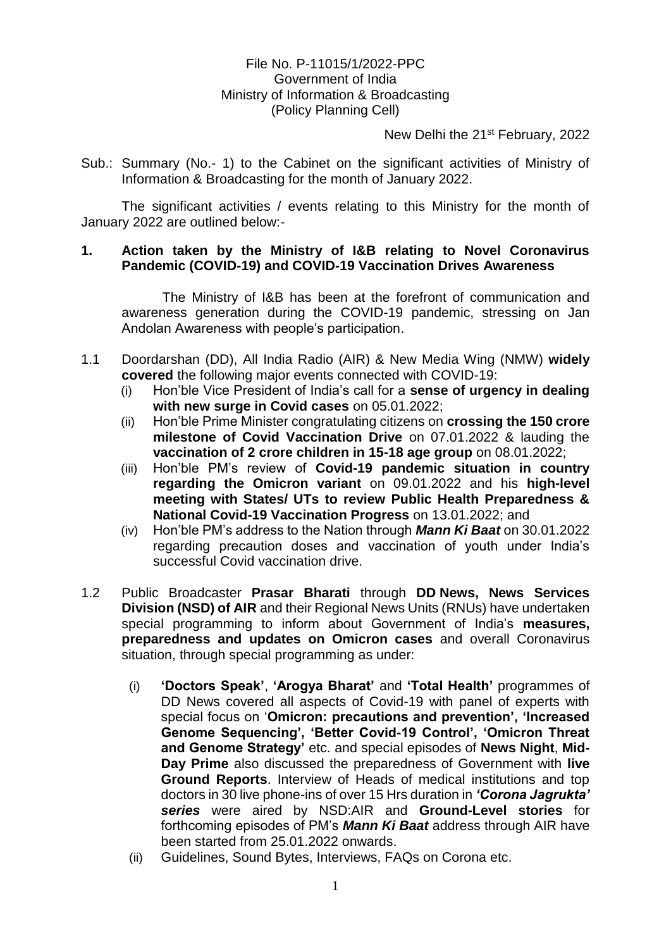## File No. P-11015/1/2022-PPC Government of India Ministry of Information & Broadcasting (Policy Planning Cell)

New Delhi the 21<sup>st</sup> February, 2022

Sub.: Summary (No.- 1) to the Cabinet on the significant activities of Ministry of Information & Broadcasting for the month of January 2022.

The significant activities / events relating to this Ministry for the month of January 2022 are outlined below:-

## **1. Action taken by the Ministry of I&B relating to Novel Coronavirus Pandemic (COVID-19) and COVID-19 Vaccination Drives Awareness**

The Ministry of I&B has been at the forefront of communication and awareness generation during the COVID-19 pandemic, stressing on Jan Andolan Awareness with people's participation.

- 1.1 Doordarshan (DD), All India Radio (AIR) & New Media Wing (NMW) **widely covered** the following major events connected with COVID-19:
	- (i) Hon'ble Vice President of India's call for a **sense of urgency in dealing with new surge in Covid cases** on 05.01.2022;
	- (ii) Hon'ble Prime Minister congratulating citizens on **crossing the 150 crore milestone of Covid Vaccination Drive** on 07.01.2022 & lauding the **vaccination of 2 crore children in 15-18 age group** on 08.01.2022;
	- (iii) Hon'ble PM's review of **Covid-19 pandemic situation in country regarding the Omicron variant** on 09.01.2022 and his **high-level meeting with States/ UTs to review Public Health Preparedness & National Covid-19 Vaccination Progress** on 13.01.2022; and
	- (iv) Hon'ble PM's address to the Nation through *Mann Ki Baat* on 30.01.2022 regarding precaution doses and vaccination of youth under India's successful Covid vaccination drive.
- 1.2 Public Broadcaster **Prasar Bharati** through **DD News, News Services Division (NSD) of AIR** and their Regional News Units (RNUs) have undertaken special programming to inform about Government of India's **measures, preparedness and updates on Omicron cases** and overall Coronavirus situation, through special programming as under:
	- (i) **'Doctors Speak'**, **'Arogya Bharat'** and **'Total Health'** programmes of DD News covered all aspects of Covid-19 with panel of experts with special focus on '**Omicron: precautions and prevention', 'Increased Genome Sequencing', 'Better Covid-19 Control', 'Omicron Threat and Genome Strategy'** etc. and special episodes of **News Night**, **Mid-Day Prime** also discussed the preparedness of Government with **live Ground Reports**. Interview of Heads of medical institutions and top doctors in 30 live phone-ins of over 15 Hrs duration in *'Corona Jagrukta' series* were aired by NSD:AIR and **Ground-Level stories** for forthcoming episodes of PM's *Mann Ki Baat* address through AIR have been started from 25.01.2022 onwards.
	- (ii) Guidelines, Sound Bytes, Interviews, FAQs on Corona etc.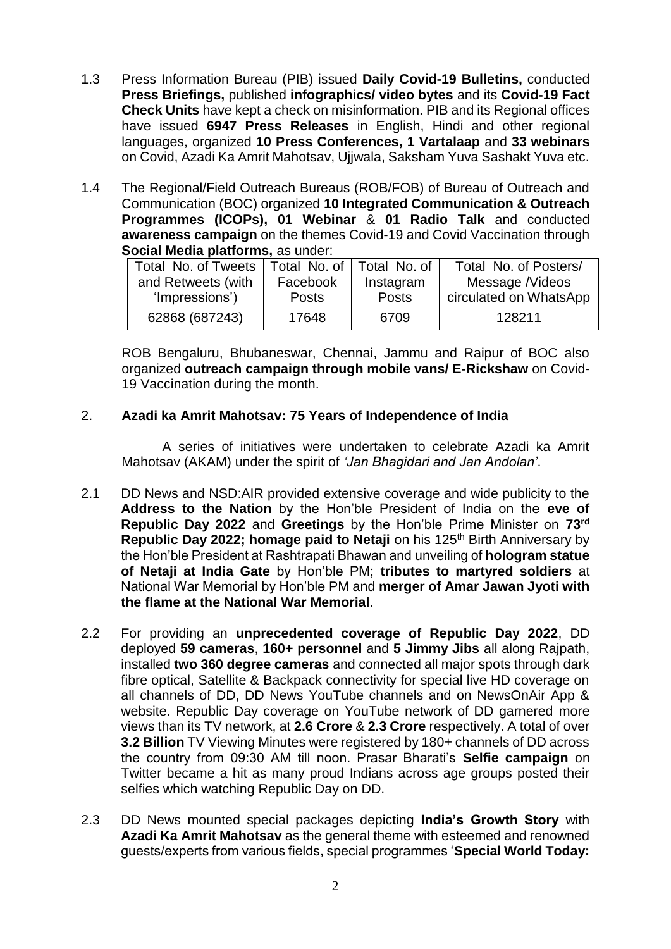- 1.3 Press Information Bureau (PIB) issued **Daily Covid-19 Bulletins,** conducted **Press Briefings,** published **infographics/ video bytes** and its **Covid-19 Fact Check Units** have kept a check on misinformation. PIB and its Regional offices have issued **6947 Press Releases** in English, Hindi and other regional languages, organized **10 Press Conferences, 1 Vartalaap** and **33 webinars** on Covid, Azadi Ka Amrit Mahotsav, Ujjwala, Saksham Yuva Sashakt Yuva etc.
- 1.4 The Regional/Field Outreach Bureaus (ROB/FOB) of Bureau of Outreach and Communication (BOC) organized **10 Integrated Communication & Outreach Programmes (ICOPs), 01 Webinar** & **01 Radio Talk** and conducted **awareness campaign** on the themes Covid-19 and Covid Vaccination through **Social Media platforms,** as under:

| Total No. of Tweets                  | Total No. of I    | Total No. of       | Total No. of Posters/                     |
|--------------------------------------|-------------------|--------------------|-------------------------------------------|
| and Retweets (with<br>'Impressions') | Facebook<br>Posts | Instagram<br>Posts | Message /Videos<br>circulated on WhatsApp |
| 62868 (687243)                       | 17648             | 6709               | 128211                                    |

ROB Bengaluru, Bhubaneswar, Chennai, Jammu and Raipur of BOC also organized **outreach campaign through mobile vans/ E-Rickshaw** on Covid-19 Vaccination during the month.

## 2. **Azadi ka Amrit Mahotsav: 75 Years of Independence of India**

A series of initiatives were undertaken to celebrate Azadi ka Amrit Mahotsav (AKAM) under the spirit of *'Jan Bhagidari and Jan Andolan'*.

- 2.1 DD News and NSD:AIR provided extensive coverage and wide publicity to the **Address to the Nation** by the Hon'ble President of India on the **eve of Republic Day 2022** and **Greetings** by the Hon'ble Prime Minister on **73rd Republic Day 2022; homage paid to Netaji** on his 125<sup>th</sup> Birth Anniversary by the Hon'ble President at Rashtrapati Bhawan and unveiling of **hologram statue of Netaji at India Gate** by Hon'ble PM; **tributes to martyred soldiers** at National War Memorial by Hon'ble PM and **merger of Amar Jawan Jyoti with the flame at the National War Memorial**.
- 2.2 For providing an **unprecedented coverage of Republic Day 2022**, DD deployed **59 cameras**, **160+ personnel** and **5 Jimmy Jibs** all along Rajpath, installed **two 360 degree cameras** and connected all major spots through dark fibre optical, Satellite & Backpack connectivity for special live HD coverage on all channels of DD, DD News YouTube channels and on NewsOnAir App & website. Republic Day coverage on YouTube network of DD garnered more views than its TV network, at **2.6 Crore** & **2.3 Crore** respectively. A total of over **3.2 Billion** TV Viewing Minutes were registered by 180+ channels of DD across the country from 09:30 AM till noon. Prasar Bharati's **Selfie campaign** on Twitter became a hit as many proud Indians across age groups posted their selfies which watching Republic Day on DD.
- 2.3 DD News mounted special packages depicting **India's Growth Story** with **Azadi Ka Amrit Mahotsav** as the general theme with esteemed and renowned guests/experts from various fields, special programmes '**Special World Today:**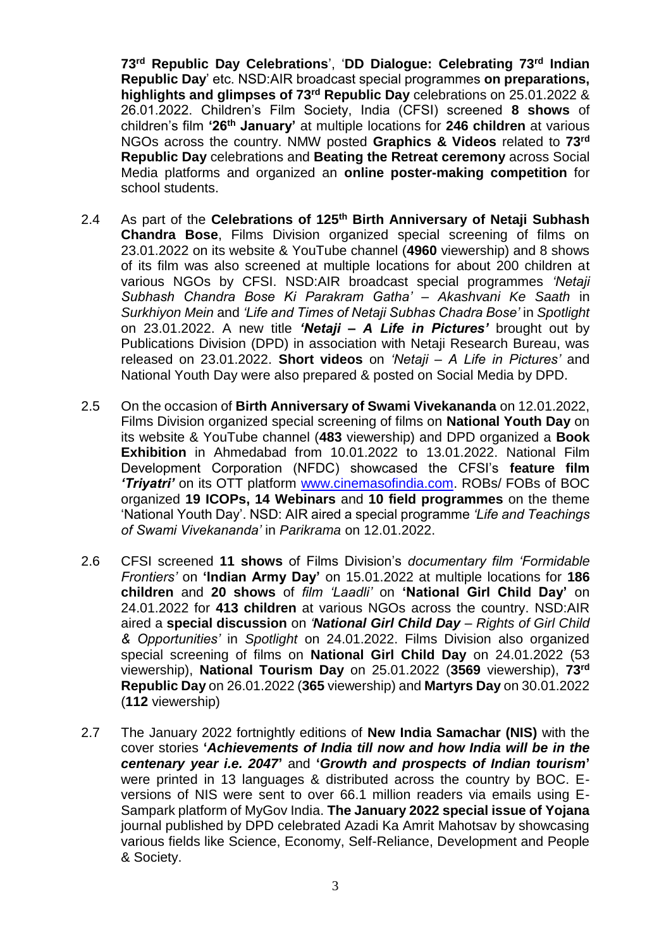**73rd Republic Day Celebrations**', '**DD Dialogue: Celebrating 73rd Indian Republic Day**' etc. NSD:AIR broadcast special programmes **on preparations, highlights and glimpses of 73rd Republic Day** celebrations on 25.01.2022 & 26.01.2022. Children's Film Society, India (CFSI) screened **8 shows** of children's film **'26th January'** at multiple locations for **246 children** at various NGOs across the country. NMW posted **Graphics & Videos** related to **73rd Republic Day** celebrations and **Beating the Retreat ceremony** across Social Media platforms and organized an **online poster-making competition** for school students.

- 2.4 As part of the **Celebrations of 125th Birth Anniversary of Netaji Subhash Chandra Bose**, Films Division organized special screening of films on 23.01.2022 on its website & YouTube channel (**4960** viewership) and 8 shows of its film was also screened at multiple locations for about 200 children at various NGOs by CFSI. NSD:AIR broadcast special programmes *'Netaji Subhash Chandra Bose Ki Parakram Gatha' – Akashvani Ke Saath* in *Surkhiyon Mein* and *'Life and Times of Netaji Subhas Chadra Bose'* in *Spotlight* on 23.01.2022. A new title *'Netaji – A Life in Pictures'* brought out by Publications Division (DPD) in association with Netaji Research Bureau, was released on 23.01.2022. **Short videos** on *'Netaji – A Life in Pictures'* and National Youth Day were also prepared & posted on Social Media by DPD.
- 2.5 On the occasion of **Birth Anniversary of Swami Vivekananda** on 12.01.2022, Films Division organized special screening of films on **National Youth Day** on its website & YouTube channel (**483** viewership) and DPD organized a **Book Exhibition** in Ahmedabad from 10.01.2022 to 13.01.2022. National Film Development Corporation (NFDC) showcased the CFSI's **feature film**  *'Triyatri'* on its OTT platform [www.cinemasofindia.com.](http://www.cinemasofindia.com/) ROBs/ FOBs of BOC organized **19 ICOPs, 14 Webinars** and **10 field programmes** on the theme 'National Youth Day'. NSD: AIR aired a special programme *'Life and Teachings of Swami Vivekananda'* in *Parikrama* on 12.01.2022.
- 2.6 CFSI screened **11 shows** of Films Division's *documentary film 'Formidable Frontiers'* on **'Indian Army Day'** on 15.01.2022 at multiple locations for **186 children** and **20 shows** of *film 'Laadli'* on **'National Girl Child Day'** on 24.01.2022 for **413 children** at various NGOs across the country. NSD:AIR aired a **special discussion** on *'National Girl Child Day – Rights of Girl Child & Opportunities'* in *Spotlight* on 24.01.2022. Films Division also organized special screening of films on **National Girl Child Day** on 24.01.2022 (53 viewership), **National Tourism Day** on 25.01.2022 (**3569** viewership), **73rd Republic Day** on 26.01.2022 (**365** viewership) and **Martyrs Day** on 30.01.2022 (**112** viewership)
- 2.7 The January 2022 fortnightly editions of **New India Samachar (NIS)** with the cover stories **'***Achievements of India till now and how India will be in the centenary year i.e. 2047***'** and **'***Growth and prospects of Indian tourism***'** were printed in 13 languages & distributed across the country by BOC. Eversions of NIS were sent to over 66.1 million readers via emails using E-Sampark platform of MyGov India. **The January 2022 special issue of Yojana** journal published by DPD celebrated Azadi Ka Amrit Mahotsav by showcasing various fields like Science, Economy, Self-Reliance, Development and People & Society.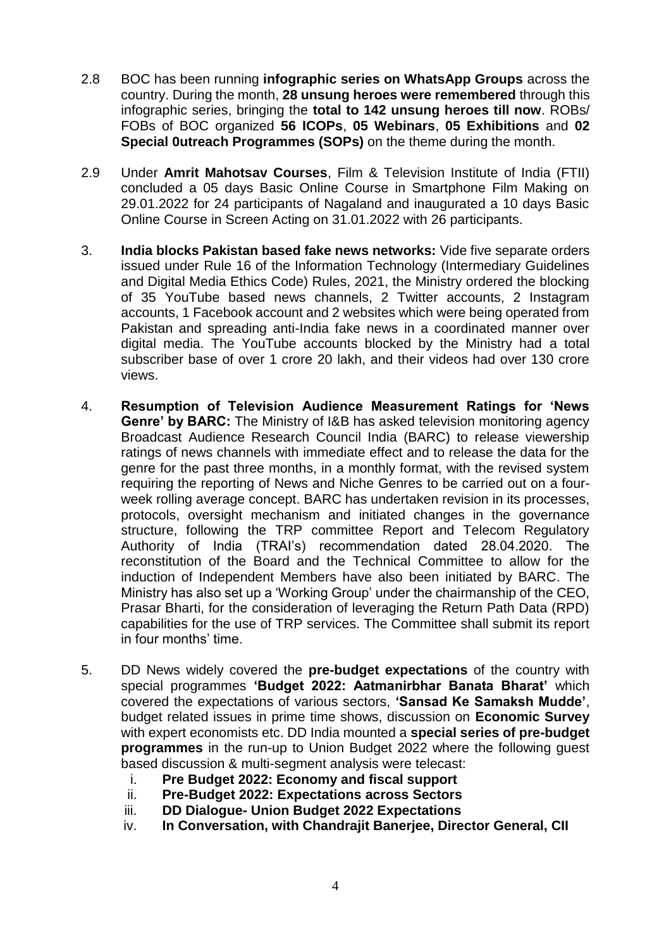- 2.8 BOC has been running **infographic series on WhatsApp Groups** across the country. During the month, **28 unsung heroes were remembered** through this infographic series, bringing the **total to 142 unsung heroes till now**. ROBs/ FOBs of BOC organized **56 ICOPs**, **05 Webinars**, **05 Exhibitions** and **02 Special 0utreach Programmes (SOPs)** on the theme during the month.
- 2.9 Under **Amrit Mahotsav Courses**, Film & Television Institute of India (FTII) concluded a 05 days Basic Online Course in Smartphone Film Making on 29.01.2022 for 24 participants of Nagaland and inaugurated a 10 days Basic Online Course in Screen Acting on 31.01.2022 with 26 participants.
- 3. **India blocks Pakistan based fake news networks:** Vide five separate orders issued under Rule 16 of the Information Technology (Intermediary Guidelines and Digital Media Ethics Code) Rules, 2021, the Ministry ordered the blocking of 35 YouTube based news channels, 2 Twitter accounts, 2 Instagram accounts, 1 Facebook account and 2 websites which were being operated from Pakistan and spreading anti-India fake news in a coordinated manner over digital media. The YouTube accounts blocked by the Ministry had a total subscriber base of over 1 crore 20 lakh, and their videos had over 130 crore views.
- 4. **Resumption of Television Audience Measurement Ratings for 'News Genre' by BARC:** The Ministry of I&B has asked television monitoring agency Broadcast Audience Research Council India (BARC) to release viewership ratings of news channels with immediate effect and to release the data for the genre for the past three months, in a monthly format, with the revised system requiring the reporting of News and Niche Genres to be carried out on a fourweek rolling average concept. BARC has undertaken revision in its processes, protocols, oversight mechanism and initiated changes in the governance structure, following the TRP committee Report and Telecom Regulatory Authority of India (TRAI's) recommendation dated 28.04.2020. The reconstitution of the Board and the Technical Committee to allow for the induction of Independent Members have also been initiated by BARC. The Ministry has also set up a 'Working Group' under the chairmanship of the CEO, Prasar Bharti, for the consideration of leveraging the Return Path Data (RPD) capabilities for the use of TRP services. The Committee shall submit its report in four months' time.
- 5. DD News widely covered the **pre-budget expectations** of the country with special programmes **'Budget 2022: Aatmanirbhar Banata Bharat'** which covered the expectations of various sectors, **'Sansad Ke Samaksh Mudde'**, budget related issues in prime time shows, discussion on **Economic Survey** with expert economists etc. DD India mounted a **special series of pre-budget programmes** in the run-up to Union Budget 2022 where the following guest based discussion & multi-segment analysis were telecast:
	- i. **Pre Budget 2022: Economy and fiscal support**
	- ii. **Pre-Budget 2022: Expectations across Sectors**
	- iii. **DD Dialogue- Union Budget 2022 Expectations**
	- iv. **In Conversation, with Chandrajit Banerjee, Director General, CII**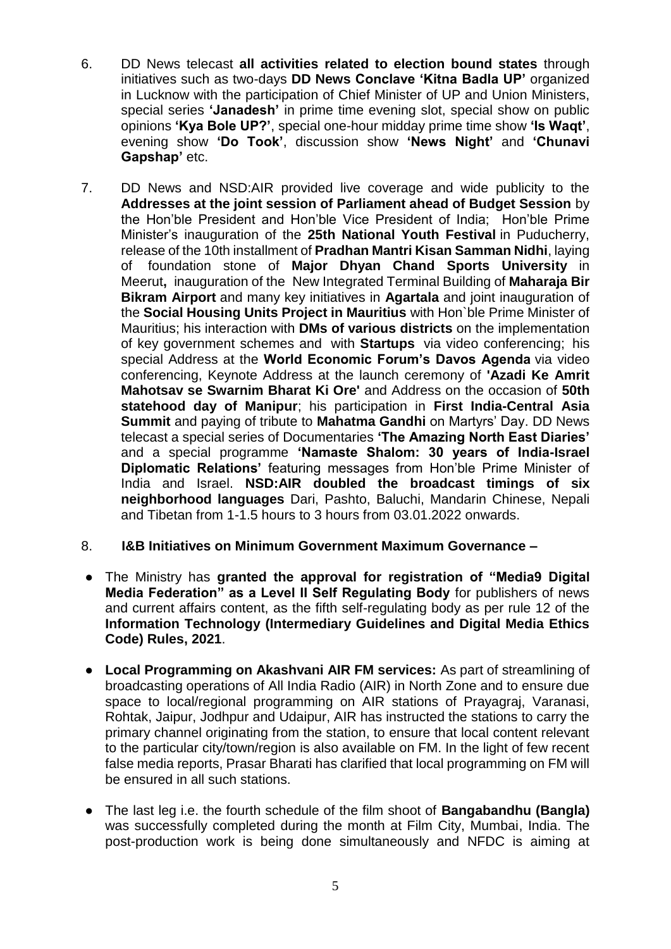- 6. DD News telecast **all activities related to election bound states** through initiatives such as two-days **DD News Conclave 'Kitna Badla UP'** organized in Lucknow with the participation of Chief Minister of UP and Union Ministers, special series **'Janadesh'** in prime time evening slot, special show on public opinions **'Kya Bole UP?'**, special one-hour midday prime time show **'Is Waqt'**, evening show **'Do Took'**, discussion show **'News Night'** and **'Chunavi Gapshap'** etc.
- 7. DD News and NSD:AIR provided live coverage and wide publicity to the **Addresses at the joint session of Parliament ahead of Budget Session** by the Hon'ble President and Hon'ble Vice President of India; Hon'ble Prime Minister's inauguration of the **25th National Youth Festival** in Puducherry, release of the 10th installment of **Pradhan Mantri Kisan Samman Nidhi**, laying of foundation stone of **Major Dhyan Chand Sports University** in Meerut**,** inauguration of the New Integrated Terminal Building of **Maharaja Bir Bikram Airport** and many key initiatives in **Agartala** and joint inauguration of the **Social Housing Units Project in Mauritius** with Hon`ble Prime Minister of Mauritius; his interaction with **DMs of various districts** on the implementation of key government schemes and with **Startups** via video conferencing; his special Address at the **World Economic Forum's Davos Agenda** via video conferencing, Keynote Address at the launch ceremony of **'Azadi Ke Amrit Mahotsav se Swarnim Bharat Ki Ore'** and Address on the occasion of **50th statehood day of Manipur**; his participation in **First India-Central Asia Summit** and paying of tribute to **Mahatma Gandhi** on Martyrs' Day. DD News telecast a special series of Documentaries **'The Amazing North East Diaries'** and a special programme **'Namaste Shalom: 30 years of India-Israel Diplomatic Relations'** featuring messages from Hon'ble Prime Minister of India and Israel. **NSD:AIR doubled the broadcast timings of six neighborhood languages** Dari, Pashto, Baluchi, Mandarin Chinese, Nepali and Tibetan from 1-1.5 hours to 3 hours from 03.01.2022 onwards.

## 8. **I&B Initiatives on Minimum Government Maximum Governance –**

- The Ministry has **granted the approval for registration of "Media9 Digital Media Federation" as a Level II Self Regulating Body** for publishers of news and current affairs content, as the fifth self-regulating body as per rule 12 of the **Information Technology (Intermediary Guidelines and Digital Media Ethics Code) Rules, 2021**.
- **Local Programming on Akashvani AIR FM services:** As part of streamlining of broadcasting operations of All India Radio (AIR) in North Zone and to ensure due space to local/regional programming on AIR stations of Prayagraj, Varanasi, Rohtak, Jaipur, Jodhpur and Udaipur, AIR has instructed the stations to carry the primary channel originating from the station, to ensure that local content relevant to the particular city/town/region is also available on FM. In the light of few recent false media reports, Prasar Bharati has clarified that local programming on FM will be ensured in all such stations.
- The last leg i.e. the fourth schedule of the film shoot of **Bangabandhu (Bangla)** was successfully completed during the month at Film City, Mumbai, India. The post-production work is being done simultaneously and NFDC is aiming at